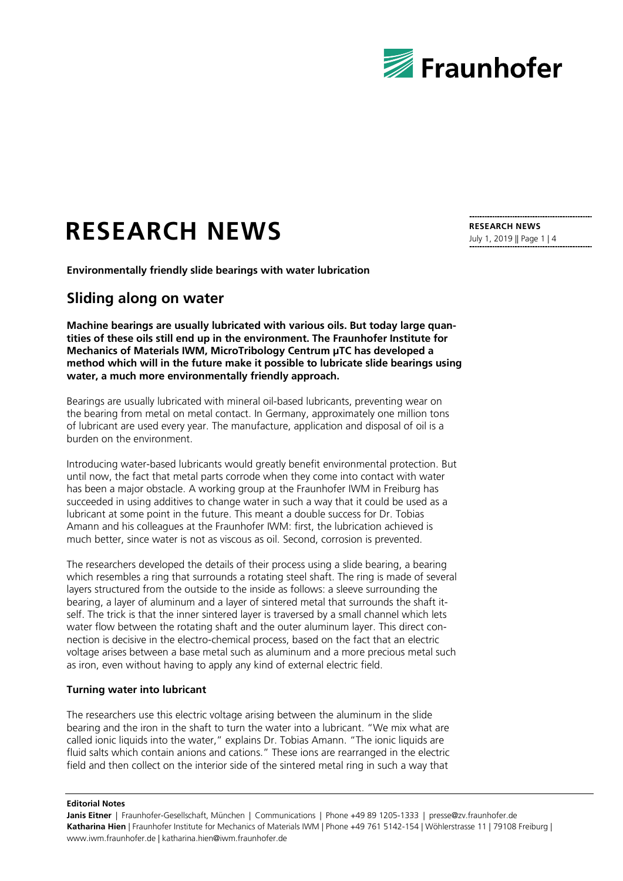

# **RESEARCH NEWS**

**Environmentally friendly slide bearings with water lubrication**

# **Sliding along on water**

**Machine bearings are usually lubricated with various oils. But today large quantities of these oils still end up in the environment. The Fraunhofer Institute for Mechanics of Materials IWM, MicroTribology Centrum μTC has developed a method which will in the future make it possible to lubricate slide bearings using water, a much more environmentally friendly approach.** 

Bearings are usually lubricated with mineral oil-based lubricants, preventing wear on the bearing from metal on metal contact. In Germany, approximately one million tons of lubricant are used every year. The manufacture, application and disposal of oil is a burden on the environment.

Introducing water-based lubricants would greatly benefit environmental protection. But until now, the fact that metal parts corrode when they come into contact with water has been a major obstacle. A working group at the Fraunhofer IWM in Freiburg has succeeded in using additives to change water in such a way that it could be used as a lubricant at some point in the future. This meant a double success for Dr. Tobias Amann and his colleagues at the Fraunhofer IWM: first, the lubrication achieved is much better, since water is not as viscous as oil. Second, corrosion is prevented.

The researchers developed the details of their process using a slide bearing, a bearing which resembles a ring that surrounds a rotating steel shaft. The ring is made of several layers structured from the outside to the inside as follows: a sleeve surrounding the bearing, a layer of aluminum and a layer of sintered metal that surrounds the shaft itself. The trick is that the inner sintered layer is traversed by a small channel which lets water flow between the rotating shaft and the outer aluminum layer. This direct connection is decisive in the electro-chemical process, based on the fact that an electric voltage arises between a base metal such as aluminum and a more precious metal such as iron, even without having to apply any kind of external electric field.

### **Turning water into lubricant**

The researchers use this electric voltage arising between the aluminum in the slide bearing and the iron in the shaft to turn the water into a lubricant. "We mix what are called ionic liquids into the water," explains Dr. Tobias Amann. "The ionic liquids are fluid salts which contain anions and cations." These ions are rearranged in the electric field and then collect on the interior side of the sintered metal ring in such a way that

#### **Editorial Notes**

**Janis Eitner** | Fraunhofer-Gesellschaft, München | Communications | Phone +49 89 1205-1333 | presse@zv.fraunhofer.de **Katharina Hien** | Fraunhofer Institute for Mechanics of Materials IWM | Phone +49 761 5142-154 | Wöhlerstrasse 11 | 79108 Freiburg | www.iwm.fraunhofer.de | katharina.hien@iwm.fraunhofer.de

**RESEARCH NEWS** July 1, 2019 || Page 1 | 4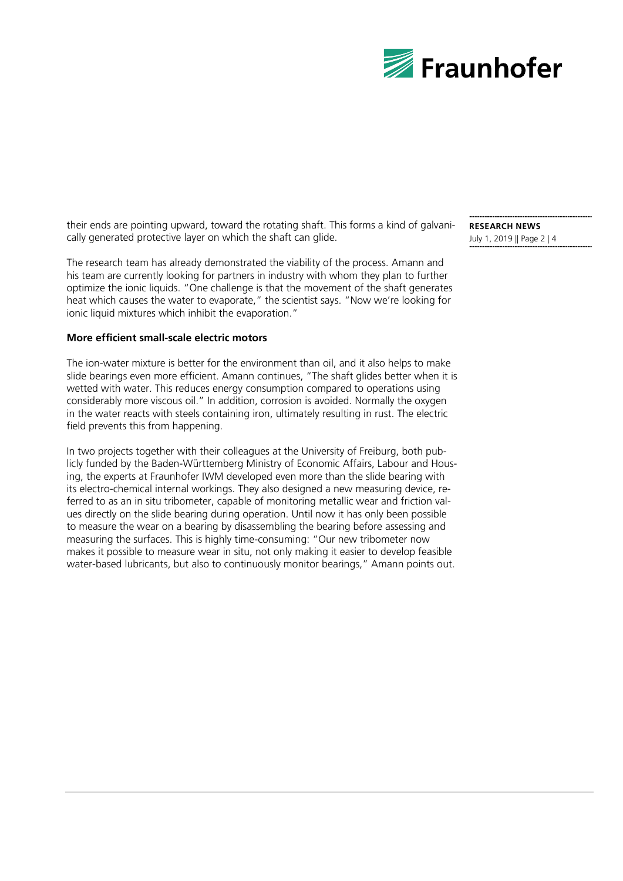

their ends are pointing upward, toward the rotating shaft. This forms a kind of galvanically generated protective layer on which the shaft can glide.

The research team has already demonstrated the viability of the process. Amann and his team are currently looking for partners in industry with whom they plan to further optimize the ionic liquids. "One challenge is that the movement of the shaft generates heat which causes the water to evaporate," the scientist says. "Now we're looking for ionic liquid mixtures which inhibit the evaporation."

## **More efficient small-scale electric motors**

The ion-water mixture is better for the environment than oil, and it also helps to make slide bearings even more efficient. Amann continues, "The shaft glides better when it is wetted with water. This reduces energy consumption compared to operations using considerably more viscous oil." In addition, corrosion is avoided. Normally the oxygen in the water reacts with steels containing iron, ultimately resulting in rust. The electric field prevents this from happening.

In two projects together with their colleagues at the University of Freiburg, both publicly funded by the Baden-Württemberg Ministry of Economic Affairs, Labour and Housing, the experts at Fraunhofer IWM developed even more than the slide bearing with its electro-chemical internal workings. They also designed a new measuring device, referred to as an in situ tribometer, capable of monitoring metallic wear and friction values directly on the slide bearing during operation. Until now it has only been possible to measure the wear on a bearing by disassembling the bearing before assessing and measuring the surfaces. This is highly time-consuming: "Our new tribometer now makes it possible to measure wear in situ, not only making it easier to develop feasible water-based lubricants, but also to continuously monitor bearings," Amann points out.

**RESEARCH NEWS** July 1, 2019 || Page 2 | 4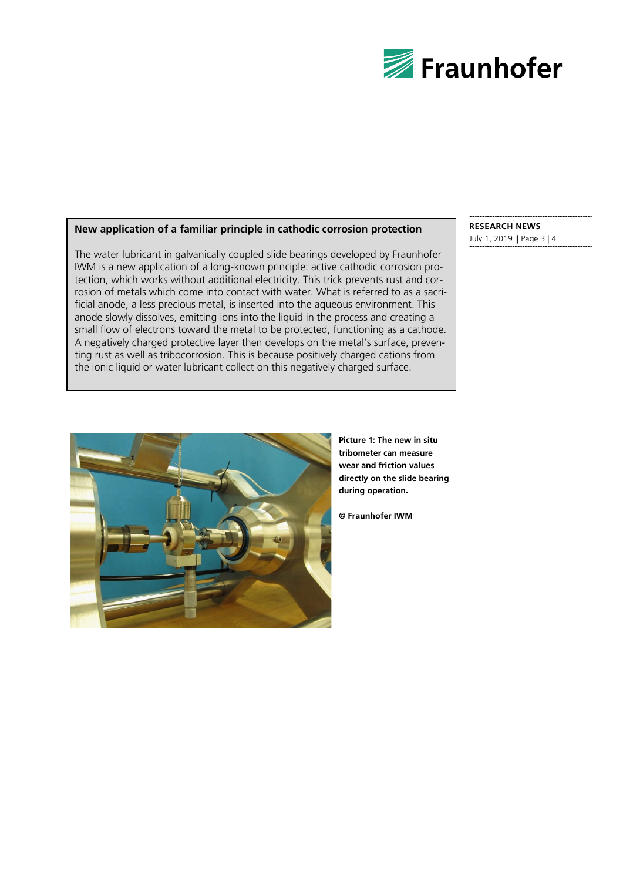

# **New application of a familiar principle in cathodic corrosion protection**

The water lubricant in galvanically coupled slide bearings developed by Fraunhofer IWM is a new application of a long-known principle: active cathodic corrosion protection, which works without additional electricity. This trick prevents rust and corrosion of metals which come into contact with water. What is referred to as a sacrificial anode, a less precious metal, is inserted into the aqueous environment. This anode slowly dissolves, emitting ions into the liquid in the process and creating a small flow of electrons toward the metal to be protected, functioning as a cathode. A negatively charged protective layer then develops on the metal's surface, preventing rust as well as tribocorrosion. This is because positively charged cations from the ionic liquid or water lubricant collect on this negatively charged surface.

**RESEARCH NEWS** July 1, 2019 || Page 3 | 4



**Picture 1: The new in situ tribometer can measure wear and friction values directly on the slide bearing during operation.** 

**© Fraunhofer IWM**